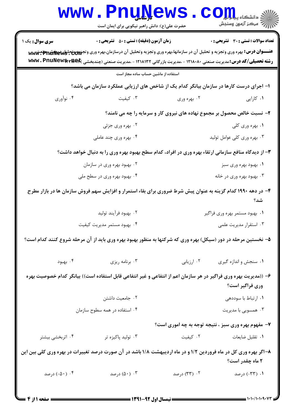|                                                                                                                                     | <b>www.PnuNews</b><br>حضرت علی(ع): دانش راهبر نیکویی برای ایمان است                                                                                                                                                                                                 |              | رآ - مرڪز آزمون وسنڊش                        |  |  |
|-------------------------------------------------------------------------------------------------------------------------------------|---------------------------------------------------------------------------------------------------------------------------------------------------------------------------------------------------------------------------------------------------------------------|--------------|----------------------------------------------|--|--|
| <b>سری سوال :</b> یک ۱                                                                                                              | <b>زمان آزمون (دقیقه) : تستی : 50 ٪ تشریحی : 0</b>                                                                                                                                                                                                                  |              | <b>تعداد سوالات : تستی : 30 ٪ تشریحی : 0</b> |  |  |
|                                                                                                                                     | عنـــوان درس: بهره وری وتجزیه و تحلیل آن در سازمانها،بهره وری وتجزیه وتحلیل آن درسازمان،بهره وری وتجزرههتچلویههای بهره تهریب<br><b>رشته تحصیلی/کد درس: م</b> دیریت صنعتی ۱۲۱۸۰۸۰ - ،مدیریت بازرگانی ۱۲۱۸۱۳۲ - ،مدیریت صنعتی (چندبخشی <b>www . PnuNew\$\\\&amp;C</b> |              |                                              |  |  |
| استفاده از ماشین حساب ساده مجاز است                                                                                                 |                                                                                                                                                                                                                                                                     |              |                                              |  |  |
| ا– اجرای درست کارها در سازمان بیانگر کدام یک از شاخص های ارزیابی عملکرد سازمان می باشد؟                                             |                                                                                                                                                                                                                                                                     |              |                                              |  |  |
| ۰۴ نوآوري                                                                                                                           | ۰۳ کیفیت                                                                                                                                                                                                                                                            | ۰۲ بهره وري  | ۰۱ کارایی                                    |  |  |
|                                                                                                                                     | ۲- نسبت خالص محصول بر مجموع نهاده های نیروی کار و سرمایه را چه می نامند؟                                                                                                                                                                                            |              |                                              |  |  |
|                                                                                                                                     | ۰۲ بهره وری جزئی                                                                                                                                                                                                                                                    |              | ۰۱ بهره وری کلی                              |  |  |
|                                                                                                                                     | ۰۴ بهره وری چند عاملی                                                                                                                                                                                                                                               |              | ۰۳ بهره وري كلي عوامل توليد                  |  |  |
| ۳- از دیدگاه منافع سازمانی ارتقاء بهره وری در افراد، کدام سطح بهبود بهره وری را به دنبال خواهد داشت؟                                |                                                                                                                                                                                                                                                                     |              |                                              |  |  |
|                                                                                                                                     | ۰۲ بهبود بهره وری در سازمان                                                                                                                                                                                                                                         |              | ۰۱ بهبود بهره وری سبز                        |  |  |
|                                                                                                                                     | ۰۴ بهبود بهره وری در سطح ملی                                                                                                                                                                                                                                        |              | ۰۳ بهبود بهره وری در خانه                    |  |  |
| ۴– در دهه ۱۹۹۰ کدام گزینه به عنوان پیش شرط ضروری برای بقاء استمرار و افزایش سهم فروش سازمان ها در بازار مطرح<br>شد؟                 |                                                                                                                                                                                                                                                                     |              |                                              |  |  |
|                                                                                                                                     | ۰۲ بهبود فرآيند توليد                                                                                                                                                                                                                                               |              | ۰۱ بهبود مستمر بهره وری فراگیر               |  |  |
|                                                                                                                                     | ۰۴ بهبود مستمر مديريت كيفيت                                                                                                                                                                                                                                         |              | ۰۳ استقرار مدیریت علمی                       |  |  |
|                                                                                                                                     | ۵– نخستین مرحله در دور (سیکل) بهره وری که شرکتها به منظور بهبود بهره وری باید از آن مرحله شروع کنند کدام است؟                                                                                                                                                       |              |                                              |  |  |
| ۰۴ بهبود                                                                                                                            | ۰۳ برنامه ریزی                                                                                                                                                                                                                                                      | ۰۲ ارزیابی   | ۰۱ سنجش و اندازه گیری                        |  |  |
| ۶– ((مدیریت بهره وری فراگیر در هر سازمان اعم از انتفاعی و غیر انتفاعی قابل استفاده است)) بیانگر کدام خصوصیت بهره<br>وری فراگیر است؟ |                                                                                                                                                                                                                                                                     |              |                                              |  |  |
|                                                                                                                                     | ٠٢ جامعيت داشتن                                                                                                                                                                                                                                                     |              | ٠١ ارتباط با سوددهي                          |  |  |
|                                                                                                                                     | ۰۴ استفاده در همه سطوح سازمان                                                                                                                                                                                                                                       |              | ۰۳ همسویی با مدیریت                          |  |  |
| ۷- مفهوم بهره وری سبز ، نتیجه توجه به چه اموری است؟                                                                                 |                                                                                                                                                                                                                                                                     |              |                                              |  |  |
| ۰۴ اثربخشی بیشتر                                                                                                                    | ۰۳ تولید پاکیزه تر                                                                                                                                                                                                                                                  | ۰۲ کیفیت     | ٠١ تقليل ضايعات                              |  |  |
| ۸–اگر بهره وری کل در ماه فروردین ۱/۲ و در ماه اردیبهشت ۱/۸ باشد در آن صورت درصد تغییرات در بهره وری کلی بین این<br>۲ ماه چقدر است؟  |                                                                                                                                                                                                                                                                     |              |                                              |  |  |
| ۰۴ (۵۰-) درصد                                                                                                                       | ۰۳ (۵۰) درصد                                                                                                                                                                                                                                                        | ۰۲ (۳۳) درصد | ۰۱ (۳۳-) درصد                                |  |  |
|                                                                                                                                     |                                                                                                                                                                                                                                                                     |              |                                              |  |  |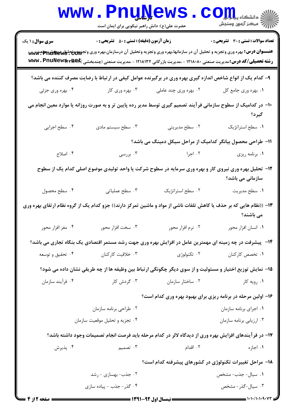|                                                            | <b>www.PnuNews</b><br>حضرت علی(ع): دانش راهبر نیکویی برای ایمان است                                            |                       | $\left\ \sum_{j=1}^N\frac{1}{\ f\ _{L^p(\Omega)}}\right\ _{L^p(\Omega)}\leq \frac{1}{\ f\ _{L^p(\Omega)}}\left\ \sum_{j=1}^N\frac{1}{\ f\ _{L^p(\Omega)}}\right\ _{L^p(\Omega)}$                                                                                             |  |
|------------------------------------------------------------|----------------------------------------------------------------------------------------------------------------|-----------------------|------------------------------------------------------------------------------------------------------------------------------------------------------------------------------------------------------------------------------------------------------------------------------|--|
| <b>سری سوال : ۱ یک</b>                                     | <b>زمان آزمون (دقیقه) : تستی : 50 ٪ تشریحی : 0</b>                                                             |                       | <b>تعداد سوالات : تستی : 30 ٪ تشریحی : 0</b>                                                                                                                                                                                                                                 |  |
|                                                            |                                                                                                                |                       | <del>عنــــوان درس:</del> بهره وری وتجزیه و تحلیل آن در سازمانها،بهره وری وتجزیه وتحلیل آن درسازمان،بهره وری وتجزروهتحلها واقتصاد www<br><b>رشته تحصیلی/کد درس:</b> مدیریت صنعتی ۱۲۱۸۰۸۰ - ،مدیریت بازرگانی ۱۲۱۸۱۳۲ - ،مدیریت صنعتی (چندبخشی <b>www . PnuNew\$\*\\&amp;C</b> |  |
|                                                            | ۹- کدام یک از انواع شاخص اندازه گیری بهره وری در برگیرنده عوامل کیفی در ارتباط با رضایت مصرف کننده می باشد؟    |                       |                                                                                                                                                                                                                                                                              |  |
| ۰۴ بهره وری جزئی                                           | ۰۳ بهره وری کار                                                                                                | ۰۲ بهره وری چند عاملی | ٠١. بهره وري جامع كل                                                                                                                                                                                                                                                         |  |
|                                                            | ∙۱− در کدامیک از سطوح سازمانی فرآیند تصمیم گیری توسط مدیر رده پایین تر و به صورت روزانه یا موارد معین انجام می |                       | گیرد؟                                                                                                                                                                                                                                                                        |  |
| ۰۴ سطح اجرایی                                              | ۰۳ سطح سیستم مادی                                                                                              | ۰۲ سطح مدیریتی        | ٠١ سطح استراتژيک                                                                                                                                                                                                                                                             |  |
| 11- طراحی محصول بیانگر کدامیک از مراحل سیکل دمینگ می باشد؟ |                                                                                                                |                       |                                                                                                                                                                                                                                                                              |  |
| ۰۴ اصلاح                                                   | ۰۳ بررسی                                                                                                       | ۰۲ اجرا               | ٠١ برنامه ريزي                                                                                                                                                                                                                                                               |  |
|                                                            |                                                                                                                |                       | ۱۲– تحلیل بهره وری نیروی کار و بهره وری سرمایه در سطوح شرکت یا واحد تولیدی موضوع اصلی کدام یک از سطوح<br>سازمانی می باشد؟                                                                                                                                                    |  |
| ۰۴ سطح محصول                                               | ۰۳ سطح عملیاتی                                                                                                 | ٠٢ سطح استراتژيک      | ٠١ سطح مديريت                                                                                                                                                                                                                                                                |  |
|                                                            |                                                                                                                |                       | ۱۳– ((نظام هایی که بر حذف یا کاهش تلفات ناشی از مواد و ماشین تمرکز دارند)) جزو کدام یک از گروه نظام ارتقای بهره وری<br>می باشند؟                                                                                                                                             |  |
| ۰۴ مغز افزار محور                                          | ۰۳ سخت افزار محور                                                                                              | ۰۲ نرم افزار محور     | ٠١. انسان افزار محور                                                                                                                                                                                                                                                         |  |
|                                                            |                                                                                                                |                       | ۱۴- پیشرفت در چه زمینه ای مهمترین عامل در افزایش بهره وری جهت رشد مستمر اقتصادی یک بنگاه تجاری می باشد؟                                                                                                                                                                      |  |
| ۰۴ تحقیق و توسعه                                           | ۰۳ خلاقیت کارکنان                                                                                              | ۰۲ تکنولوژی           | ۰۱ تخصص کارکنان                                                                                                                                                                                                                                                              |  |
|                                                            |                                                                                                                |                       | ۱۵− نمایش توزیع اختیار و مسئولیت و از سوی دیگر چگونگی ارتباط بین وظیفه ها از چه طریقی نشان داده می شود؟                                                                                                                                                                      |  |
| ۰۴ فرآیند سازمان                                           | ۰۳ گردش کار                                                                                                    | ۰۲ ساختار سازمان      | ۰۱ رویه کار                                                                                                                                                                                                                                                                  |  |
|                                                            |                                                                                                                |                       | ۱۶- اولین مرحله در برنامه ریزی برای بهبود بهره وری کدام است؟                                                                                                                                                                                                                 |  |
|                                                            | ۰۲ طراحي برنامه سازمان                                                                                         |                       | ٠١. اجراى برنامه سازمان                                                                                                                                                                                                                                                      |  |
|                                                            | ۰۴ تجزیه و تحلیل موقعیت سازمان                                                                                 |                       | ۰۳ ارزیابی برنامه سازمان                                                                                                                                                                                                                                                     |  |
|                                                            |                                                                                                                |                       | ۱۷– در فرآیندهای افزایش بهره وری از دیدگاه لالر در کدام مرحله باید فرصت انجام تصمیمات وجود داشته باشد؟                                                                                                                                                                       |  |
| ۰۴ پذیرش                                                   | ۰۳ تصمیم                                                                                                       | ۰۲ اقدام              | ۰۱ اجازه                                                                                                                                                                                                                                                                     |  |
| ۱۸– مراحل تغییرات تکنولوژی در کشورهای پیشرفته کدام است؟    |                                                                                                                |                       |                                                                                                                                                                                                                                                                              |  |
|                                                            | ۰۲ جذب- بهسازی - رشد                                                                                           |                       | ۰۱ سیال- جذب- مشخص                                                                                                                                                                                                                                                           |  |
|                                                            | ۰۴ گذر- جذب - پیاده سازی                                                                                       |                       | ۰۳ سیال-گذر- مشخص                                                                                                                                                                                                                                                            |  |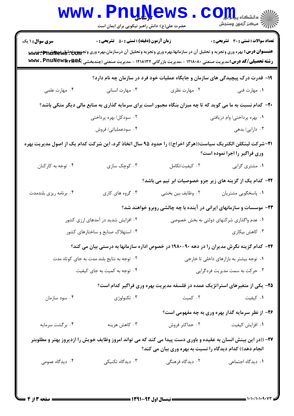|                                                                                                                                                                             | <b>www.PnuNews</b><br>حضرت علی(ع): دانش راهبر نیکویی برای ایمان است                                                                                                                                                                                                                                                |                                           | ران دانشگاه پیام ایران<br>۱۳۸۸ - مرکز آزمون وسنجش                            |  |  |
|-----------------------------------------------------------------------------------------------------------------------------------------------------------------------------|--------------------------------------------------------------------------------------------------------------------------------------------------------------------------------------------------------------------------------------------------------------------------------------------------------------------|-------------------------------------------|------------------------------------------------------------------------------|--|--|
| <b>سری سوال : ۱ یک</b>                                                                                                                                                      | زمان آزمون (دقیقه) : تستی : 50 ٪ تشریحی : 0<br>عنـــوان درس: بهره وری وتجزیه و تحلیل آن در سازمانها،بهره وری وتجزیه وتحلیل آن درسازمان،بهره وری وتجهیههتحلط۳۵۳۵۳۵۰۳۶۳۲۰۰۵۳۷۰<br><b>رشته تحصیلی/کد درس:</b> مدیریت صنعتی ۱۲۱۸۰۸۰ - ،مدیریت بازرگانی ۱۲۱۸۱۳۲ - ،مدیریت صنعتی (چندبخشی <b>www . PnuNew\$\r\&amp;E</b> |                                           | <b>تعداد سوالات : تستی : 30 ٪ تشریحی : 0</b>                                 |  |  |
| ۱۹- قدرت درک پیچیدگی های سازمان و جایگاه عملیات خود فرد در سازمان چه نام دارد؟                                                                                              |                                                                                                                                                                                                                                                                                                                    |                                           |                                                                              |  |  |
| ۰۴ مهارت علمی                                                                                                                                                               | ۰۳ مهارت انسانی                                                                                                                                                                                                                                                                                                    | ۰۲ مهارت نظری                             | ۰۱ مهارت فنی                                                                 |  |  |
| ۲۰- کدام نسبت به ما می گوید که تا چه میزان بنگاه مجبور است برای سرمایه گذاری به منابع مالی دیگر متکی باشد؟                                                                  |                                                                                                                                                                                                                                                                                                                    |                                           |                                                                              |  |  |
|                                                                                                                                                                             | ۲. سودکل/بهره پرداختی                                                                                                                                                                                                                                                                                              |                                           | ۰۱ بهره پرداختی/ وام دریافتی                                                 |  |  |
|                                                                                                                                                                             | ۰۴ سودعملیاتی/ فروش                                                                                                                                                                                                                                                                                                |                                           | ۰۳ دارایی/ بدهی                                                              |  |  |
| <b>۳۱</b> –شرکت لینکلن الکتریک سیاست((هرگز اخراج)) را حدود ۹۵ سال اتخاذ کرد، این شرکت کدام یک از اصول مدیریت بهره<br>وری فراگیر را اجرا نموده است؟                          |                                                                                                                                                                                                                                                                                                                    |                                           |                                                                              |  |  |
| ۰۴ توجه به کارکنان                                                                                                                                                          | ۰۳ کوچک سازی                                                                                                                                                                                                                                                                                                       | ٠٢ كيفيت/تكامل                            | ۰۱ مشتری گرایی                                                               |  |  |
|                                                                                                                                                                             |                                                                                                                                                                                                                                                                                                                    |                                           | <b>۲۲</b> - کدام یک از گزینه های زیر جزو خصوصیات ابر تیم می باشد؟            |  |  |
| ۰۴ برنامه ریزی بلندمدت                                                                                                                                                      | ۰۳ گروه های کاری                                                                                                                                                                                                                                                                                                   | ٢. وظايف بين بخشي                         | ٠١ پاسخگويي مشتريان                                                          |  |  |
|                                                                                                                                                                             |                                                                                                                                                                                                                                                                                                                    |                                           | ۲۳– موسسات و سازمانهای ایرانی در آینده با چه چالشی روبرو خواهند شد؟          |  |  |
| ۰۲ افزایش شدید در آمدهای ارزی کشور                                                                                                                                          |                                                                                                                                                                                                                                                                                                                    | ۰۱ عدم واگذاری شرکتهای دولتی به بخش خصوصی |                                                                              |  |  |
| ۰۴ استهلاک صنایع و ساختارهای کشور                                                                                                                                           |                                                                                                                                                                                                                                                                                                                    | ۰۳ کاهش بیکاری                            |                                                                              |  |  |
|                                                                                                                                                                             | <b>۳۴</b> - کدام گزینه نگرش مدیران را در دهه ۹۰-۱۹۸۰ در خصوص اداره سازمانها به درستی بیان می کند؟                                                                                                                                                                                                                  |                                           |                                                                              |  |  |
|                                                                                                                                                                             | ۰۲ توجه به نتایج بلند مدت به جای کوتاه مدت                                                                                                                                                                                                                                                                         | ۰۱ توجه بیشتر به بازارهای داخلی تا خارجی  |                                                                              |  |  |
|                                                                                                                                                                             | ۰۴ توجه به کمیت به جای کیفیت                                                                                                                                                                                                                                                                                       | ۰۳ حرکت به سمت مدیریت فردگرایی            |                                                                              |  |  |
|                                                                                                                                                                             |                                                                                                                                                                                                                                                                                                                    |                                           | ۲۵- یکی از متغیرهای استراتژیک عمده در فلسفه مدیریت بهره وری فراگیر کدام است؟ |  |  |
| ۰۴ سود سازمان                                                                                                                                                               | ۰۳ تکنولوژی                                                                                                                                                                                                                                                                                                        | ۰۲ کمیت                                   | ۰۱ کیفیت                                                                     |  |  |
|                                                                                                                                                                             |                                                                                                                                                                                                                                                                                                                    |                                           | ۲۶- از نظر سرمایه گذار بهره وری به چه مفهومی است؟                            |  |  |
| ۰۴ برگشت سرمايه                                                                                                                                                             | ۰۳ کاهش هزینه                                                                                                                                                                                                                                                                                                      | ۰۲ حداکثر فروش                            | ٠١. افزايش كيفيت                                                             |  |  |
| ۲۷– ((در این بینش انسان به عقیده و باوری دست پیدا می کند که می تواند امروز وظایف خویش را ازدیروز بهتر و مطلوبتر<br>انجام دهد)) کدام دیدگاه را نسبت به بهره وری بیان می کند؟ |                                                                                                                                                                                                                                                                                                                    |                                           |                                                                              |  |  |
| ۰۴ دیدگاه عمومی                                                                                                                                                             | ۰۳ دیدگاه تکنیکی                                                                                                                                                                                                                                                                                                   | ۲. دیدگاه فرهنگی                          | ۰۱ دیدگاه اجتماعی                                                            |  |  |
|                                                                                                                                                                             |                                                                                                                                                                                                                                                                                                                    |                                           |                                                                              |  |  |